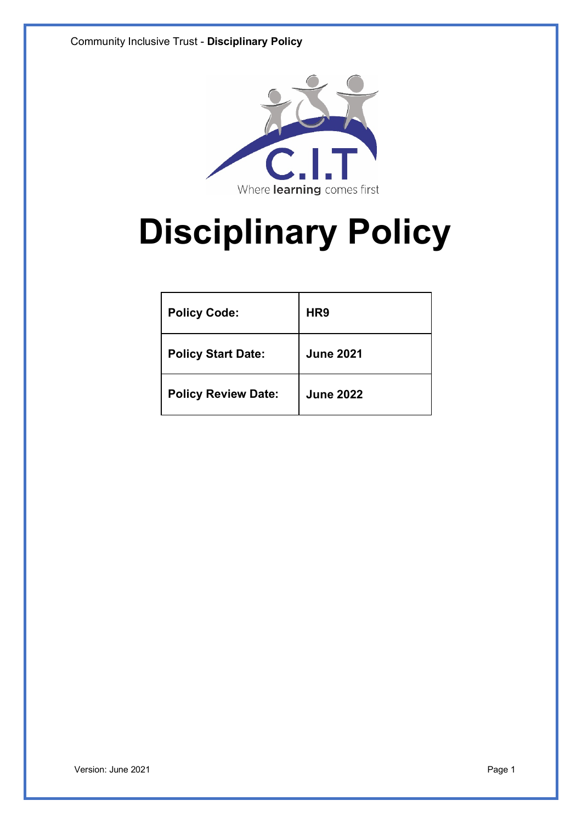

# **Disciplinary Policy**

| <b>Policy Code:</b>        | HR <sub>9</sub>  |
|----------------------------|------------------|
| <b>Policy Start Date:</b>  | <b>June 2021</b> |
| <b>Policy Review Date:</b> | <b>June 2022</b> |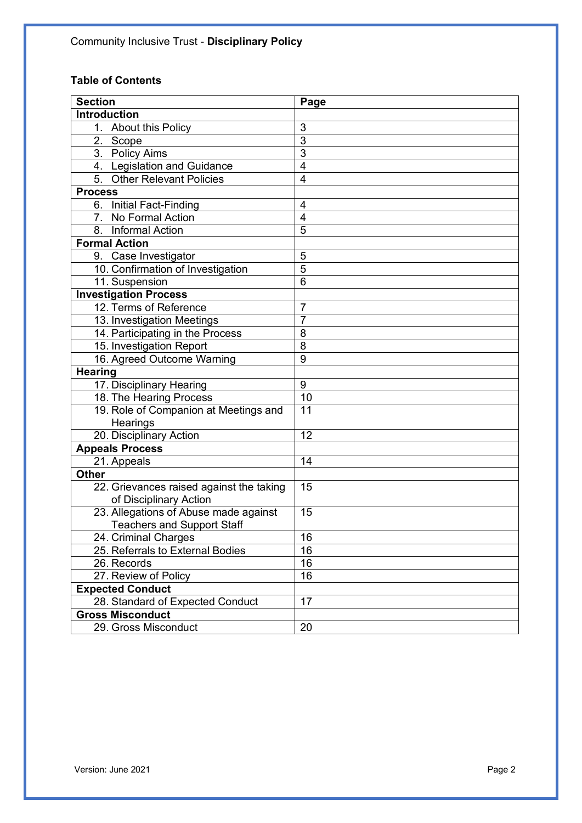# **Table of Contents**

| <b>Section</b>                           | Page                    |
|------------------------------------------|-------------------------|
| <b>Introduction</b>                      |                         |
| 1. About this Policy                     | 3                       |
| 2. Scope                                 | 3                       |
| 3. Policy Aims                           | $\overline{3}$          |
| 4. Legislation and Guidance              | $\overline{\mathbf{4}}$ |
| 5. Other Relevant Policies               | $\overline{4}$          |
| <b>Process</b>                           |                         |
| 6. Initial Fact-Finding                  | $\overline{4}$          |
| 7. No Formal Action                      | $\overline{4}$          |
| 8. Informal Action                       | 5                       |
| <b>Formal Action</b>                     |                         |
| 9. Case Investigator                     | 5                       |
| 10. Confirmation of Investigation        | $\overline{5}$          |
| 11. Suspension                           | 6                       |
| <b>Investigation Process</b>             |                         |
| 12. Terms of Reference                   | 7                       |
| 13. Investigation Meetings               | 7                       |
| 14. Participating in the Process         | 8                       |
| 15. Investigation Report                 | 8                       |
| 16. Agreed Outcome Warning               | 9                       |
| <b>Hearing</b>                           |                         |
| 17. Disciplinary Hearing                 | 9                       |
| 18. The Hearing Process                  | 10                      |
| 19. Role of Companion at Meetings and    | 11                      |
| Hearings                                 |                         |
| 20. Disciplinary Action                  | 12                      |
| <b>Appeals Process</b>                   |                         |
| 21. Appeals                              | 14                      |
| <b>Other</b>                             |                         |
| 22. Grievances raised against the taking | 15                      |
| of Disciplinary Action                   |                         |
| 23. Allegations of Abuse made against    | 15                      |
| <b>Teachers and Support Staff</b>        |                         |
| 24. Criminal Charges                     | 16                      |
| 25. Referrals to External Bodies         | 16                      |
| 26. Records                              | 16                      |
| 27. Review of Policy                     | 16                      |
| <b>Expected Conduct</b>                  |                         |
| 28. Standard of Expected Conduct         | 17                      |
| <b>Gross Misconduct</b>                  |                         |
| 29. Gross Misconduct                     | 20                      |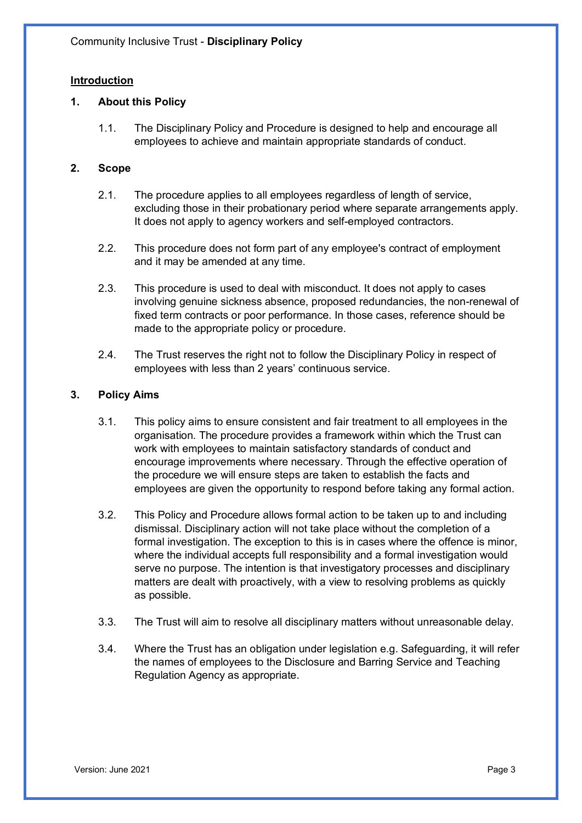# **Introduction**

# **1. About this Policy**

1.1. The Disciplinary Policy and Procedure is designed to help and encourage all employees to achieve and maintain appropriate standards of conduct.

# **2. Scope**

- 2.1. The procedure applies to all employees regardless of length of service, excluding those in their probationary period where separate arrangements apply. It does not apply to agency workers and self-employed contractors.
- 2.2. This procedure does not form part of any employee's contract of employment and it may be amended at any time.
- 2.3. This procedure is used to deal with misconduct. It does not apply to cases involving genuine sickness absence, proposed redundancies, the non-renewal of fixed term contracts or poor performance. In those cases, reference should be made to the appropriate policy or procedure.
- 2.4. The Trust reserves the right not to follow the Disciplinary Policy in respect of employees with less than 2 years' continuous service.

# **3. Policy Aims**

- 3.1. This policy aims to ensure consistent and fair treatment to all employees in the organisation. The procedure provides a framework within which the Trust can work with employees to maintain satisfactory standards of conduct and encourage improvements where necessary. Through the effective operation of the procedure we will ensure steps are taken to establish the facts and employees are given the opportunity to respond before taking any formal action.
- 3.2. This Policy and Procedure allows formal action to be taken up to and including dismissal. Disciplinary action will not take place without the completion of a formal investigation. The exception to this is in cases where the offence is minor, where the individual accepts full responsibility and a formal investigation would serve no purpose. The intention is that investigatory processes and disciplinary matters are dealt with proactively, with a view to resolving problems as quickly as possible.
- 3.3. The Trust will aim to resolve all disciplinary matters without unreasonable delay.
- 3.4. Where the Trust has an obligation under legislation e.g. Safeguarding, it will refer the names of employees to the Disclosure and Barring Service and Teaching Regulation Agency as appropriate.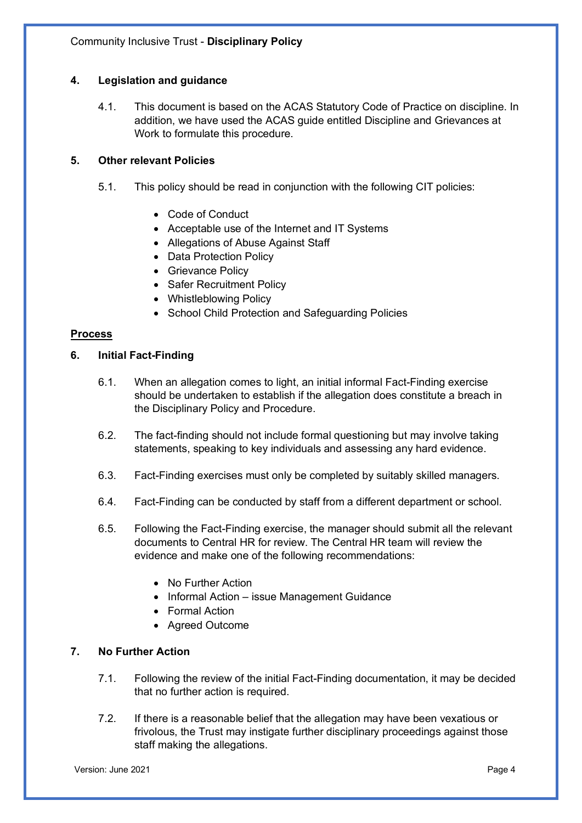# **4. Legislation and guidance**

4.1. This document is based on the ACAS Statutory Code of Practice on discipline. In addition, we have used the ACAS guide entitled Discipline and Grievances at Work to formulate this procedure.

# **5. Other relevant Policies**

- 5.1. This policy should be read in conjunction with the following CIT policies:
	- Code of Conduct
	- Acceptable use of the Internet and IT Systems
	- Allegations of Abuse Against Staff
	- Data Protection Policy
	- Grievance Policy
	- Safer Recruitment Policy
	- Whistleblowing Policy
	- School Child Protection and Safeguarding Policies

# **Process**

# **6. Initial Fact-Finding**

- 6.1. When an allegation comes to light, an initial informal Fact-Finding exercise should be undertaken to establish if the allegation does constitute a breach in the Disciplinary Policy and Procedure.
- 6.2. The fact-finding should not include formal questioning but may involve taking statements, speaking to key individuals and assessing any hard evidence.
- 6.3. Fact-Finding exercises must only be completed by suitably skilled managers.
- 6.4. Fact-Finding can be conducted by staff from a different department or school.
- 6.5. Following the Fact-Finding exercise, the manager should submit all the relevant documents to Central HR for review. The Central HR team will review the evidence and make one of the following recommendations:
	- No Further Action
	- Informal Action issue Management Guidance
	- Formal Action
	- Agreed Outcome

# **7. No Further Action**

- 7.1. Following the review of the initial Fact-Finding documentation, it may be decided that no further action is required.
- 7.2. If there is a reasonable belief that the allegation may have been vexatious or frivolous, the Trust may instigate further disciplinary proceedings against those staff making the allegations.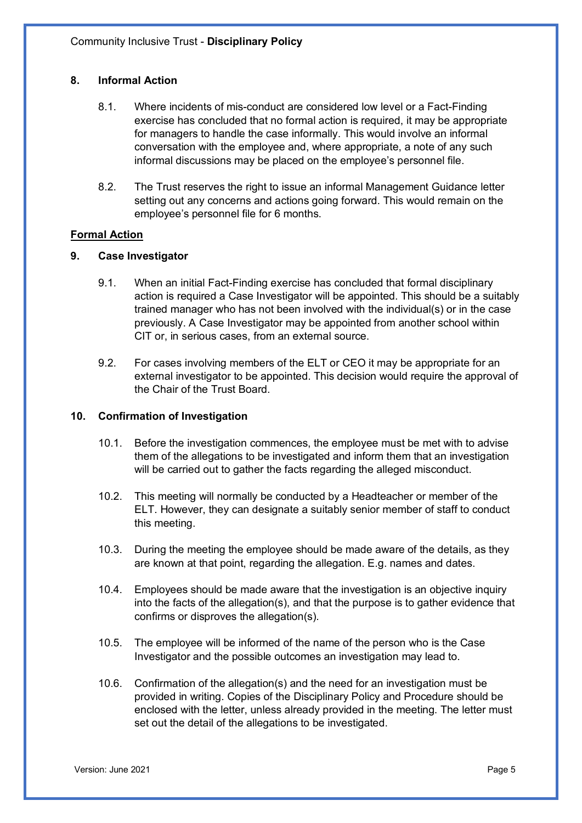# **8. Informal Action**

- 8.1. Where incidents of mis-conduct are considered low level or a Fact-Finding exercise has concluded that no formal action is required, it may be appropriate for managers to handle the case informally. This would involve an informal conversation with the employee and, where appropriate, a note of any such informal discussions may be placed on the employee's personnel file.
- 8.2. The Trust reserves the right to issue an informal Management Guidance letter setting out any concerns and actions going forward. This would remain on the employee's personnel file for 6 months.

# **Formal Action**

# **9. Case Investigator**

- 9.1. When an initial Fact-Finding exercise has concluded that formal disciplinary action is required a Case Investigator will be appointed. This should be a suitably trained manager who has not been involved with the individual(s) or in the case previously. A Case Investigator may be appointed from another school within CIT or, in serious cases, from an external source.
- 9.2. For cases involving members of the ELT or CEO it may be appropriate for an external investigator to be appointed. This decision would require the approval of the Chair of the Trust Board.

# **10. Confirmation of Investigation**

- 10.1. Before the investigation commences, the employee must be met with to advise them of the allegations to be investigated and inform them that an investigation will be carried out to gather the facts regarding the alleged misconduct.
- 10.2. This meeting will normally be conducted by a Headteacher or member of the ELT. However, they can designate a suitably senior member of staff to conduct this meeting.
- 10.3. During the meeting the employee should be made aware of the details, as they are known at that point, regarding the allegation. E.g. names and dates.
- 10.4. Employees should be made aware that the investigation is an objective inquiry into the facts of the allegation(s), and that the purpose is to gather evidence that confirms or disproves the allegation(s).
- 10.5. The employee will be informed of the name of the person who is the Case Investigator and the possible outcomes an investigation may lead to.
- 10.6. Confirmation of the allegation(s) and the need for an investigation must be provided in writing. Copies of the Disciplinary Policy and Procedure should be enclosed with the letter, unless already provided in the meeting. The letter must set out the detail of the allegations to be investigated.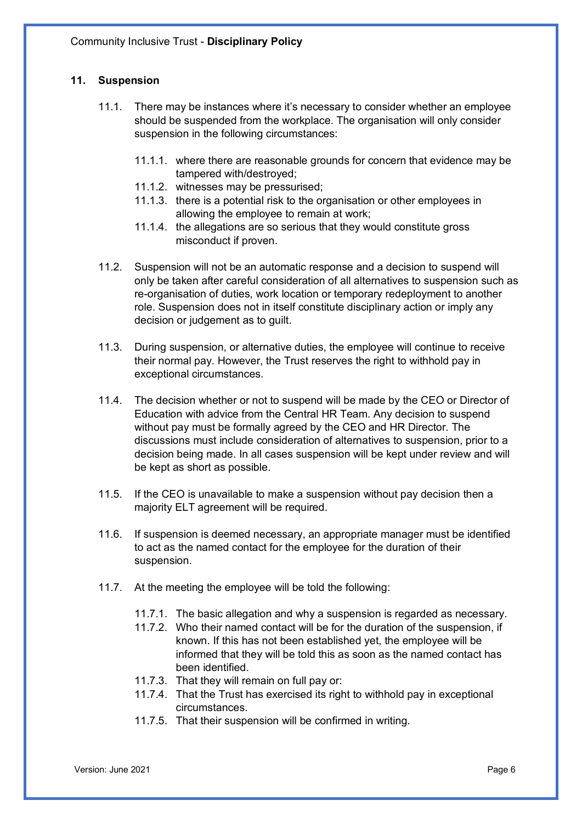# **11. Suspension**

- 11.1. There may be instances where it's necessary to consider whether an employee should be suspended from the workplace. The organisation will only consider suspension in the following circumstances:
	- 11.1.1. where there are reasonable grounds for concern that evidence may be tampered with/destroyed;
	- 11.1.2. witnesses may be pressurised;
	- 11.1.3. there is a potential risk to the organisation or other employees in allowing the employee to remain at work;
	- 11.1.4. the allegations are so serious that they would constitute gross misconduct if proven.
- 11.2. Suspension will not be an automatic response and a decision to suspend will only be taken after careful consideration of all alternatives to suspension such as re-organisation of duties, work location or temporary redeployment to another role. Suspension does not in itself constitute disciplinary action or imply any decision or judgement as to quilt.
- 11.3. During suspension, or alternative duties, the employee will continue to receive their normal pay. However, the Trust reserves the right to withhold pay in exceptional circumstances.
- 11.4. The decision whether or not to suspend will be made by the CEO or Director of Education with advice from the Central HR Team. Any decision to suspend without pay must be formally agreed by the CEO and HR Director. The discussions must include consideration of alternatives to suspension, prior to a decision being made. In all cases suspension will be kept under review and will be kept as short as possible.
- 11.5. If the CEO is unavailable to make a suspension without pay decision then a majority ELT agreement will be required.
- 11.6. If suspension is deemed necessary, an appropriate manager must be identified to act as the named contact for the employee for the duration of their suspension.
- 11.7. At the meeting the employee will be told the following:
	- 11.7.1. The basic allegation and why a suspension is regarded as necessary.
	- 11.7.2. Who their named contact will be for the duration of the suspension, if known. If this has not been established yet, the employee will be informed that they will be told this as soon as the named contact has been identified.
	- 11.7.3. That they will remain on full pay or:
	- 11.7.4. That the Trust has exercised its right to withhold pay in exceptional circumstances.
	- 11.7.5. That their suspension will be confirmed in writing.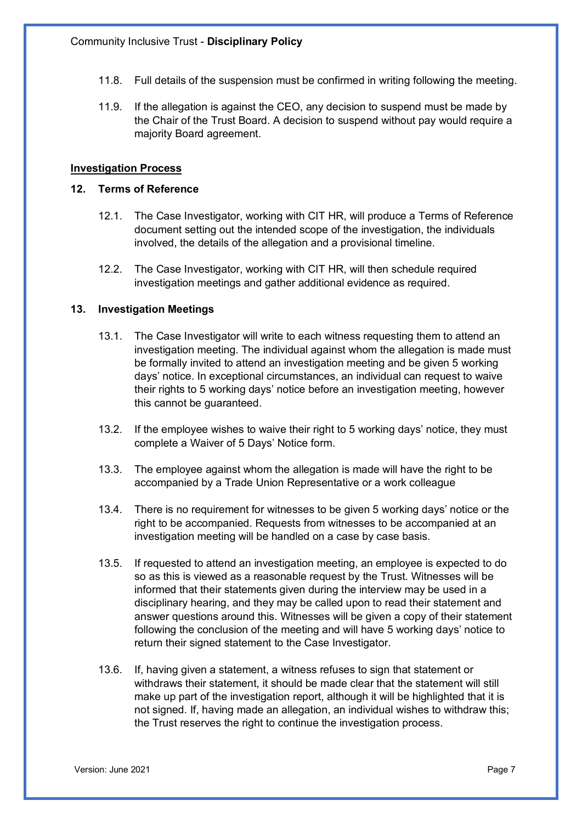- 11.8. Full details of the suspension must be confirmed in writing following the meeting.
- 11.9. If the allegation is against the CEO, any decision to suspend must be made by the Chair of the Trust Board. A decision to suspend without pay would require a majority Board agreement.

#### **Investigation Process**

## **12. Terms of Reference**

- 12.1. The Case Investigator, working with CIT HR, will produce a Terms of Reference document setting out the intended scope of the investigation, the individuals involved, the details of the allegation and a provisional timeline.
- 12.2. The Case Investigator, working with CIT HR, will then schedule required investigation meetings and gather additional evidence as required.

#### **13. Investigation Meetings**

- 13.1. The Case Investigator will write to each witness requesting them to attend an investigation meeting. The individual against whom the allegation is made must be formally invited to attend an investigation meeting and be given 5 working days' notice. In exceptional circumstances, an individual can request to waive their rights to 5 working days' notice before an investigation meeting, however this cannot be guaranteed.
- 13.2. If the employee wishes to waive their right to 5 working days' notice, they must complete a Waiver of 5 Days' Notice form.
- 13.3. The employee against whom the allegation is made will have the right to be accompanied by a Trade Union Representative or a work colleague
- 13.4. There is no requirement for witnesses to be given 5 working days' notice or the right to be accompanied. Requests from witnesses to be accompanied at an investigation meeting will be handled on a case by case basis.
- 13.5. If requested to attend an investigation meeting, an employee is expected to do so as this is viewed as a reasonable request by the Trust. Witnesses will be informed that their statements given during the interview may be used in a disciplinary hearing, and they may be called upon to read their statement and answer questions around this. Witnesses will be given a copy of their statement following the conclusion of the meeting and will have 5 working days' notice to return their signed statement to the Case Investigator.
- 13.6. If, having given a statement, a witness refuses to sign that statement or withdraws their statement, it should be made clear that the statement will still make up part of the investigation report, although it will be highlighted that it is not signed. If, having made an allegation, an individual wishes to withdraw this; the Trust reserves the right to continue the investigation process.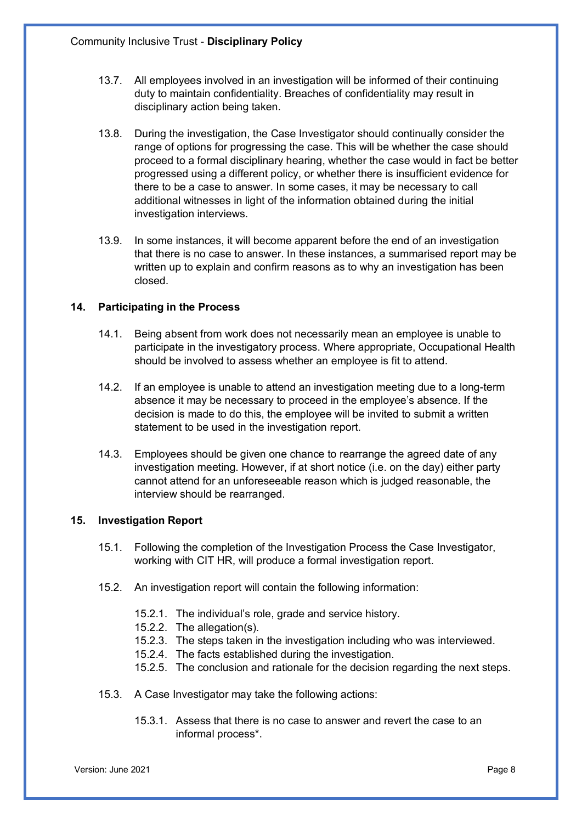- 13.7. All employees involved in an investigation will be informed of their continuing duty to maintain confidentiality. Breaches of confidentiality may result in disciplinary action being taken.
- 13.8. During the investigation, the Case Investigator should continually consider the range of options for progressing the case. This will be whether the case should proceed to a formal disciplinary hearing, whether the case would in fact be better progressed using a different policy, or whether there is insufficient evidence for there to be a case to answer. In some cases, it may be necessary to call additional witnesses in light of the information obtained during the initial investigation interviews.
- 13.9. In some instances, it will become apparent before the end of an investigation that there is no case to answer. In these instances, a summarised report may be written up to explain and confirm reasons as to why an investigation has been closed.

# **14. Participating in the Process**

- 14.1. Being absent from work does not necessarily mean an employee is unable to participate in the investigatory process. Where appropriate, Occupational Health should be involved to assess whether an employee is fit to attend.
- 14.2. If an employee is unable to attend an investigation meeting due to a long-term absence it may be necessary to proceed in the employee's absence. If the decision is made to do this, the employee will be invited to submit a written statement to be used in the investigation report.
- 14.3. Employees should be given one chance to rearrange the agreed date of any investigation meeting. However, if at short notice (i.e. on the day) either party cannot attend for an unforeseeable reason which is judged reasonable, the interview should be rearranged.

#### **15. Investigation Report**

- 15.1. Following the completion of the Investigation Process the Case Investigator, working with CIT HR, will produce a formal investigation report.
- 15.2. An investigation report will contain the following information:
	- 15.2.1. The individual's role, grade and service history.
	- 15.2.2. The allegation(s).
	- 15.2.3. The steps taken in the investigation including who was interviewed.
	- 15.2.4. The facts established during the investigation.
	- 15.2.5. The conclusion and rationale for the decision regarding the next steps.
- 15.3. A Case Investigator may take the following actions:
	- 15.3.1. Assess that there is no case to answer and revert the case to an informal process\*.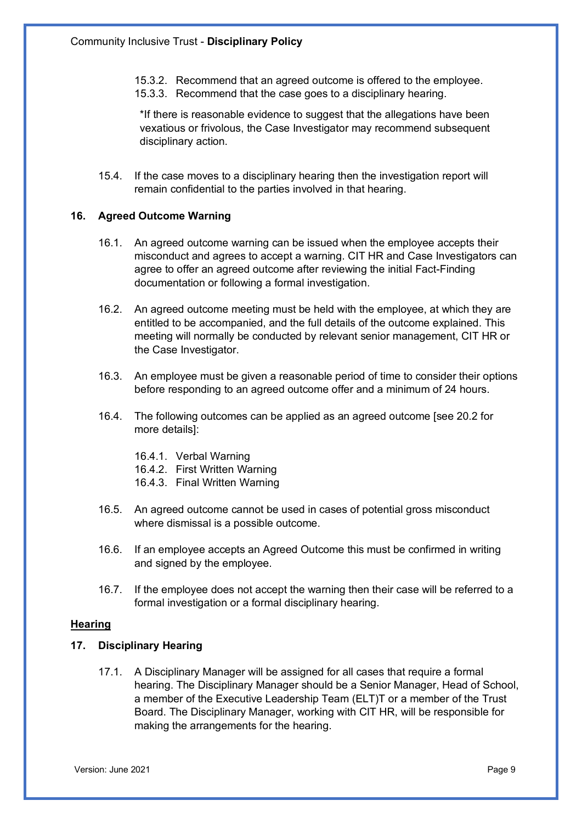- 15.3.2. Recommend that an agreed outcome is offered to the employee.
- 15.3.3. Recommend that the case goes to a disciplinary hearing.

\*If there is reasonable evidence to suggest that the allegations have been vexatious or frivolous, the Case Investigator may recommend subsequent disciplinary action.

15.4. If the case moves to a disciplinary hearing then the investigation report will remain confidential to the parties involved in that hearing.

## **16. Agreed Outcome Warning**

- 16.1. An agreed outcome warning can be issued when the employee accepts their misconduct and agrees to accept a warning. CIT HR and Case Investigators can agree to offer an agreed outcome after reviewing the initial Fact-Finding documentation or following a formal investigation.
- 16.2. An agreed outcome meeting must be held with the employee, at which they are entitled to be accompanied, and the full details of the outcome explained. This meeting will normally be conducted by relevant senior management, CIT HR or the Case Investigator.
- 16.3. An employee must be given a reasonable period of time to consider their options before responding to an agreed outcome offer and a minimum of 24 hours.
- 16.4. The following outcomes can be applied as an agreed outcome [see 20.2 for more details]:
	- 16.4.1. Verbal Warning
	- 16.4.2. First Written Warning
	- 16.4.3. Final Written Warning
- 16.5. An agreed outcome cannot be used in cases of potential gross misconduct where dismissal is a possible outcome.
- 16.6. If an employee accepts an Agreed Outcome this must be confirmed in writing and signed by the employee.
- 16.7. If the employee does not accept the warning then their case will be referred to a formal investigation or a formal disciplinary hearing.

## **Hearing**

# **17. Disciplinary Hearing**

17.1. A Disciplinary Manager will be assigned for all cases that require a formal hearing. The Disciplinary Manager should be a Senior Manager, Head of School, a member of the Executive Leadership Team (ELT)T or a member of the Trust Board. The Disciplinary Manager, working with CIT HR, will be responsible for making the arrangements for the hearing.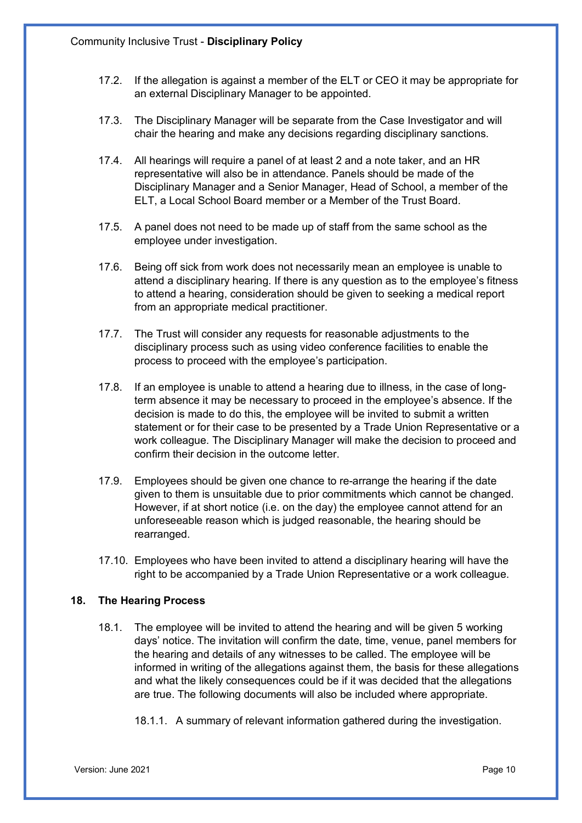- 17.2. If the allegation is against a member of the ELT or CEO it may be appropriate for an external Disciplinary Manager to be appointed.
- 17.3. The Disciplinary Manager will be separate from the Case Investigator and will chair the hearing and make any decisions regarding disciplinary sanctions.
- 17.4. All hearings will require a panel of at least 2 and a note taker, and an HR representative will also be in attendance. Panels should be made of the Disciplinary Manager and a Senior Manager, Head of School, a member of the ELT, a Local School Board member or a Member of the Trust Board.
- 17.5. A panel does not need to be made up of staff from the same school as the employee under investigation.
- 17.6. Being off sick from work does not necessarily mean an employee is unable to attend a disciplinary hearing. If there is any question as to the employee's fitness to attend a hearing, consideration should be given to seeking a medical report from an appropriate medical practitioner.
- 17.7. The Trust will consider any requests for reasonable adjustments to the disciplinary process such as using video conference facilities to enable the process to proceed with the employee's participation.
- 17.8. If an employee is unable to attend a hearing due to illness, in the case of longterm absence it may be necessary to proceed in the employee's absence. If the decision is made to do this, the employee will be invited to submit a written statement or for their case to be presented by a Trade Union Representative or a work colleague. The Disciplinary Manager will make the decision to proceed and confirm their decision in the outcome letter.
- 17.9. Employees should be given one chance to re-arrange the hearing if the date given to them is unsuitable due to prior commitments which cannot be changed. However, if at short notice (i.e. on the day) the employee cannot attend for an unforeseeable reason which is judged reasonable, the hearing should be rearranged.
- 17.10. Employees who have been invited to attend a disciplinary hearing will have the right to be accompanied by a Trade Union Representative or a work colleague.

# **18. The Hearing Process**

- 18.1. The employee will be invited to attend the hearing and will be given 5 working days' notice. The invitation will confirm the date, time, venue, panel members for the hearing and details of any witnesses to be called. The employee will be informed in writing of the allegations against them, the basis for these allegations and what the likely consequences could be if it was decided that the allegations are true. The following documents will also be included where appropriate.
	- 18.1.1. A summary of relevant information gathered during the investigation.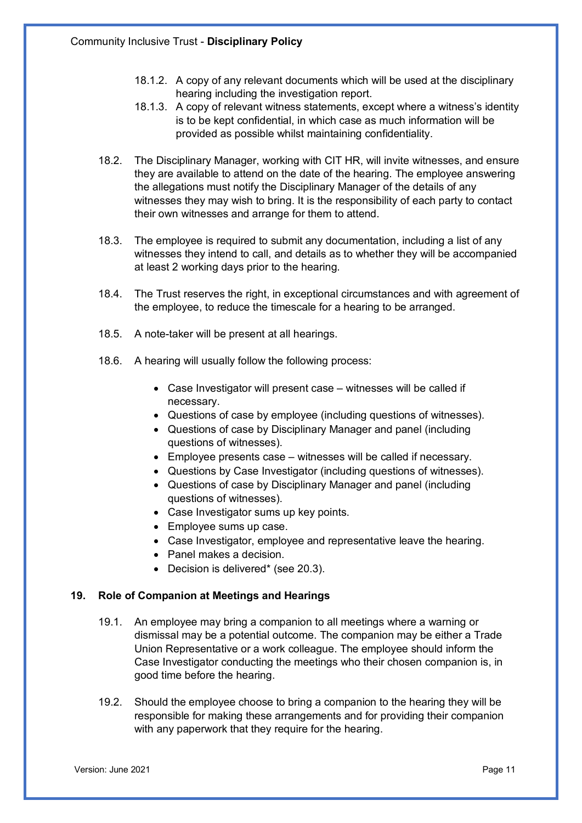- 18.1.2. A copy of any relevant documents which will be used at the disciplinary hearing including the investigation report.
- 18.1.3. A copy of relevant witness statements, except where a witness's identity is to be kept confidential, in which case as much information will be provided as possible whilst maintaining confidentiality.
- 18.2. The Disciplinary Manager, working with CIT HR, will invite witnesses, and ensure they are available to attend on the date of the hearing. The employee answering the allegations must notify the Disciplinary Manager of the details of any witnesses they may wish to bring. It is the responsibility of each party to contact their own witnesses and arrange for them to attend.
- 18.3. The employee is required to submit any documentation, including a list of any witnesses they intend to call, and details as to whether they will be accompanied at least 2 working days prior to the hearing.
- 18.4. The Trust reserves the right, in exceptional circumstances and with agreement of the employee, to reduce the timescale for a hearing to be arranged.
- 18.5. A note-taker will be present at all hearings.
- 18.6. A hearing will usually follow the following process:
	- Case Investigator will present case witnesses will be called if necessary.
	- Questions of case by employee (including questions of witnesses).
	- Questions of case by Disciplinary Manager and panel (including questions of witnesses).
	- Employee presents case witnesses will be called if necessary.
	- Questions by Case Investigator (including questions of witnesses).
	- Questions of case by Disciplinary Manager and panel (including questions of witnesses).
	- Case Investigator sums up key points.
	- Employee sums up case.
	- Case Investigator, employee and representative leave the hearing.
	- Panel makes a decision.
	- Decision is delivered\* (see 20.3).

#### **19. Role of Companion at Meetings and Hearings**

- 19.1. An employee may bring a companion to all meetings where a warning or dismissal may be a potential outcome. The companion may be either a Trade Union Representative or a work colleague. The employee should inform the Case Investigator conducting the meetings who their chosen companion is, in good time before the hearing.
- 19.2. Should the employee choose to bring a companion to the hearing they will be responsible for making these arrangements and for providing their companion with any paperwork that they require for the hearing.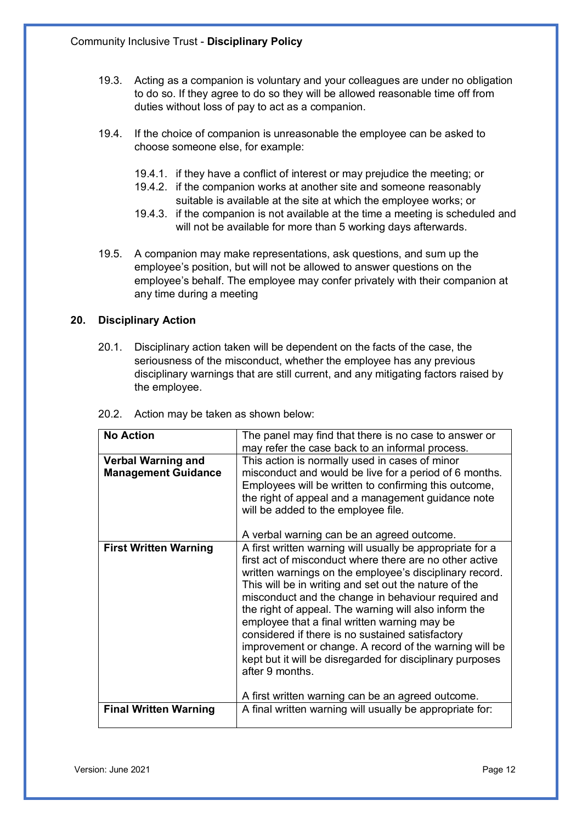- 19.3. Acting as a companion is voluntary and your colleagues are under no obligation to do so. If they agree to do so they will be allowed reasonable time off from duties without loss of pay to act as a companion.
- 19.4. If the choice of companion is unreasonable the employee can be asked to choose someone else, for example:
	- 19.4.1. if they have a conflict of interest or may prejudice the meeting; or
	- 19.4.2. if the companion works at another site and someone reasonably suitable is available at the site at which the employee works; or
	- 19.4.3. if the companion is not available at the time a meeting is scheduled and will not be available for more than 5 working days afterwards.
- 19.5. A companion may make representations, ask questions, and sum up the employee's position, but will not be allowed to answer questions on the employee's behalf. The employee may confer privately with their companion at any time during a meeting

# **20. Disciplinary Action**

20.1. Disciplinary action taken will be dependent on the facts of the case, the seriousness of the misconduct, whether the employee has any previous disciplinary warnings that are still current, and any mitigating factors raised by the employee.

| <b>No Action</b>                                        | The panel may find that there is no case to answer or<br>may refer the case back to an informal process.                                                                                                                                                                                                                                                                                                                                                                                                                                                                                                                                                    |
|---------------------------------------------------------|-------------------------------------------------------------------------------------------------------------------------------------------------------------------------------------------------------------------------------------------------------------------------------------------------------------------------------------------------------------------------------------------------------------------------------------------------------------------------------------------------------------------------------------------------------------------------------------------------------------------------------------------------------------|
| <b>Verbal Warning and</b><br><b>Management Guidance</b> | This action is normally used in cases of minor<br>misconduct and would be live for a period of 6 months.<br>Employees will be written to confirming this outcome,<br>the right of appeal and a management guidance note<br>will be added to the employee file.                                                                                                                                                                                                                                                                                                                                                                                              |
|                                                         | A verbal warning can be an agreed outcome.                                                                                                                                                                                                                                                                                                                                                                                                                                                                                                                                                                                                                  |
| <b>First Written Warning</b>                            | A first written warning will usually be appropriate for a<br>first act of misconduct where there are no other active<br>written warnings on the employee's disciplinary record.<br>This will be in writing and set out the nature of the<br>misconduct and the change in behaviour required and<br>the right of appeal. The warning will also inform the<br>employee that a final written warning may be<br>considered if there is no sustained satisfactory<br>improvement or change. A record of the warning will be<br>kept but it will be disregarded for disciplinary purposes<br>after 9 months.<br>A first written warning can be an agreed outcome. |
| <b>Final Written Warning</b>                            | A final written warning will usually be appropriate for:                                                                                                                                                                                                                                                                                                                                                                                                                                                                                                                                                                                                    |
|                                                         |                                                                                                                                                                                                                                                                                                                                                                                                                                                                                                                                                                                                                                                             |

20.2. Action may be taken as shown below: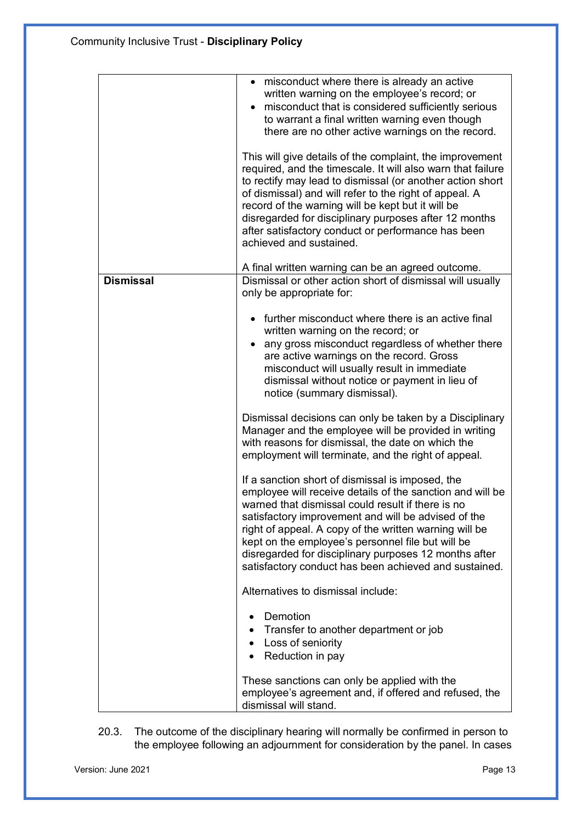|                  | • misconduct where there is already an active<br>written warning on the employee's record; or<br>misconduct that is considered sufficiently serious<br>to warrant a final written warning even though<br>there are no other active warnings on the record.<br>This will give details of the complaint, the improvement<br>required, and the timescale. It will also warn that failure<br>to rectify may lead to dismissal (or another action short<br>of dismissal) and will refer to the right of appeal. A<br>record of the warning will be kept but it will be<br>disregarded for disciplinary purposes after 12 months<br>after satisfactory conduct or performance has been<br>achieved and sustained.<br>A final written warning can be an agreed outcome. |
|------------------|------------------------------------------------------------------------------------------------------------------------------------------------------------------------------------------------------------------------------------------------------------------------------------------------------------------------------------------------------------------------------------------------------------------------------------------------------------------------------------------------------------------------------------------------------------------------------------------------------------------------------------------------------------------------------------------------------------------------------------------------------------------|
| <b>Dismissal</b> | Dismissal or other action short of dismissal will usually                                                                                                                                                                                                                                                                                                                                                                                                                                                                                                                                                                                                                                                                                                        |
|                  | only be appropriate for:                                                                                                                                                                                                                                                                                                                                                                                                                                                                                                                                                                                                                                                                                                                                         |
|                  | further misconduct where there is an active final<br>written warning on the record; or<br>any gross misconduct regardless of whether there<br>are active warnings on the record. Gross<br>misconduct will usually result in immediate<br>dismissal without notice or payment in lieu of<br>notice (summary dismissal).                                                                                                                                                                                                                                                                                                                                                                                                                                           |
|                  | Dismissal decisions can only be taken by a Disciplinary<br>Manager and the employee will be provided in writing<br>with reasons for dismissal, the date on which the<br>employment will terminate, and the right of appeal.                                                                                                                                                                                                                                                                                                                                                                                                                                                                                                                                      |
|                  | If a sanction short of dismissal is imposed, the<br>employee will receive details of the sanction and will be<br>warned that dismissal could result if there is no<br>satisfactory improvement and will be advised of the<br>right of appeal. A copy of the written warning will be<br>kept on the employee's personnel file but will be<br>disregarded for disciplinary purposes 12 months after<br>satisfactory conduct has been achieved and sustained.                                                                                                                                                                                                                                                                                                       |
|                  | Alternatives to dismissal include:                                                                                                                                                                                                                                                                                                                                                                                                                                                                                                                                                                                                                                                                                                                               |
|                  | Demotion<br>Transfer to another department or job<br>Loss of seniority<br>٠<br>Reduction in pay                                                                                                                                                                                                                                                                                                                                                                                                                                                                                                                                                                                                                                                                  |
|                  | These sanctions can only be applied with the<br>employee's agreement and, if offered and refused, the<br>dismissal will stand.                                                                                                                                                                                                                                                                                                                                                                                                                                                                                                                                                                                                                                   |

20.3. The outcome of the disciplinary hearing will normally be confirmed in person to the employee following an adjournment for consideration by the panel. In cases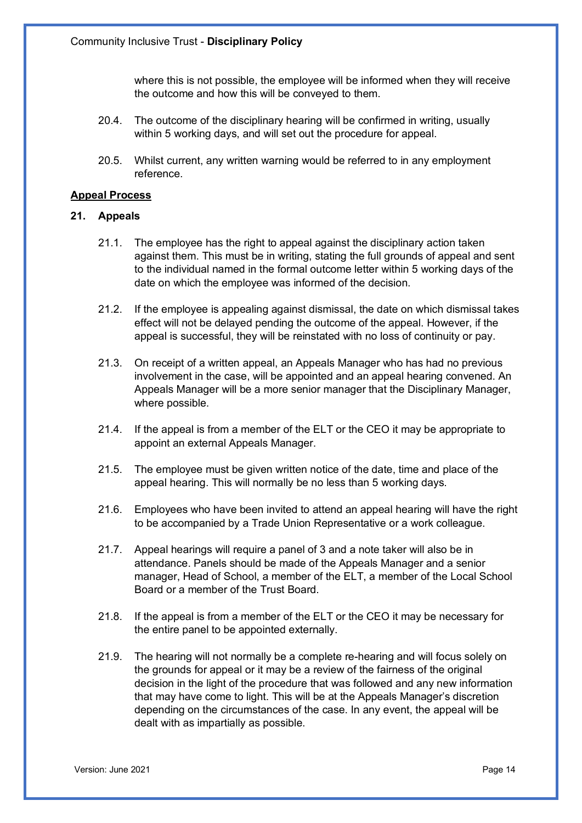where this is not possible, the employee will be informed when they will receive the outcome and how this will be conveyed to them.

- 20.4. The outcome of the disciplinary hearing will be confirmed in writing, usually within 5 working days, and will set out the procedure for appeal.
- 20.5. Whilst current, any written warning would be referred to in any employment reference.

## **Appeal Process**

#### **21. Appeals**

- 21.1. The employee has the right to appeal against the disciplinary action taken against them. This must be in writing, stating the full grounds of appeal and sent to the individual named in the formal outcome letter within 5 working days of the date on which the employee was informed of the decision.
- 21.2. If the employee is appealing against dismissal, the date on which dismissal takes effect will not be delayed pending the outcome of the appeal. However, if the appeal is successful, they will be reinstated with no loss of continuity or pay.
- 21.3. On receipt of a written appeal, an Appeals Manager who has had no previous involvement in the case, will be appointed and an appeal hearing convened. An Appeals Manager will be a more senior manager that the Disciplinary Manager, where possible.
- 21.4. If the appeal is from a member of the ELT or the CEO it may be appropriate to appoint an external Appeals Manager.
- 21.5. The employee must be given written notice of the date, time and place of the appeal hearing. This will normally be no less than 5 working days.
- 21.6. Employees who have been invited to attend an appeal hearing will have the right to be accompanied by a Trade Union Representative or a work colleague.
- 21.7. Appeal hearings will require a panel of 3 and a note taker will also be in attendance. Panels should be made of the Appeals Manager and a senior manager, Head of School, a member of the ELT, a member of the Local School Board or a member of the Trust Board.
- 21.8. If the appeal is from a member of the ELT or the CEO it may be necessary for the entire panel to be appointed externally.
- 21.9. The hearing will not normally be a complete re-hearing and will focus solely on the grounds for appeal or it may be a review of the fairness of the original decision in the light of the procedure that was followed and any new information that may have come to light. This will be at the Appeals Manager's discretion depending on the circumstances of the case. In any event, the appeal will be dealt with as impartially as possible.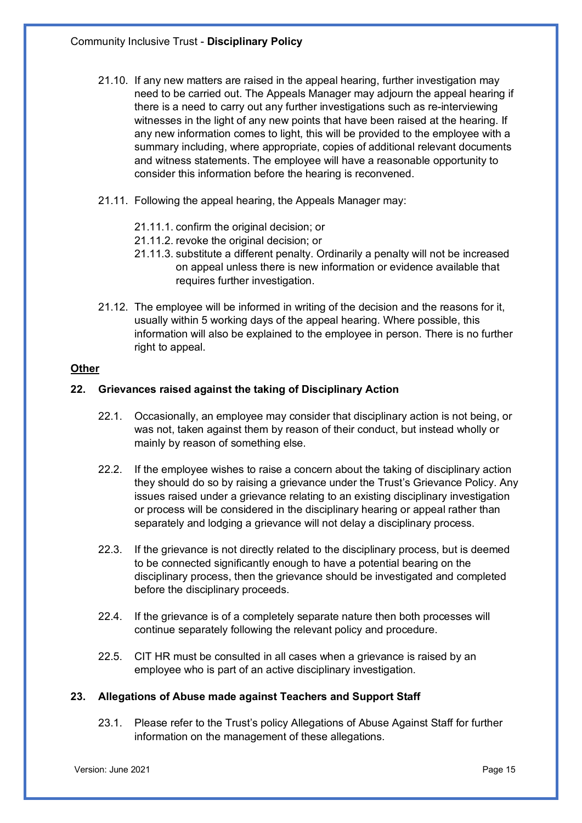- 21.10. If any new matters are raised in the appeal hearing, further investigation may need to be carried out. The Appeals Manager may adjourn the appeal hearing if there is a need to carry out any further investigations such as re-interviewing witnesses in the light of any new points that have been raised at the hearing. If any new information comes to light, this will be provided to the employee with a summary including, where appropriate, copies of additional relevant documents and witness statements. The employee will have a reasonable opportunity to consider this information before the hearing is reconvened.
- 21.11. Following the appeal hearing, the Appeals Manager may:
	- 21.11.1. confirm the original decision; or
	- 21.11.2. revoke the original decision; or
	- 21.11.3. substitute a different penalty. Ordinarily a penalty will not be increased on appeal unless there is new information or evidence available that requires further investigation.
- 21.12. The employee will be informed in writing of the decision and the reasons for it, usually within 5 working days of the appeal hearing. Where possible, this information will also be explained to the employee in person. There is no further right to appeal.

## **Other**

## **22. Grievances raised against the taking of Disciplinary Action**

- 22.1. Occasionally, an employee may consider that disciplinary action is not being, or was not, taken against them by reason of their conduct, but instead wholly or mainly by reason of something else.
- 22.2. If the employee wishes to raise a concern about the taking of disciplinary action they should do so by raising a grievance under the Trust's Grievance Policy. Any issues raised under a grievance relating to an existing disciplinary investigation or process will be considered in the disciplinary hearing or appeal rather than separately and lodging a grievance will not delay a disciplinary process.
- 22.3. If the grievance is not directly related to the disciplinary process, but is deemed to be connected significantly enough to have a potential bearing on the disciplinary process, then the grievance should be investigated and completed before the disciplinary proceeds.
- 22.4. If the grievance is of a completely separate nature then both processes will continue separately following the relevant policy and procedure.
- 22.5. CIT HR must be consulted in all cases when a grievance is raised by an employee who is part of an active disciplinary investigation.

# **23. Allegations of Abuse made against Teachers and Support Staff**

23.1. Please refer to the Trust's policy Allegations of Abuse Against Staff for further information on the management of these allegations.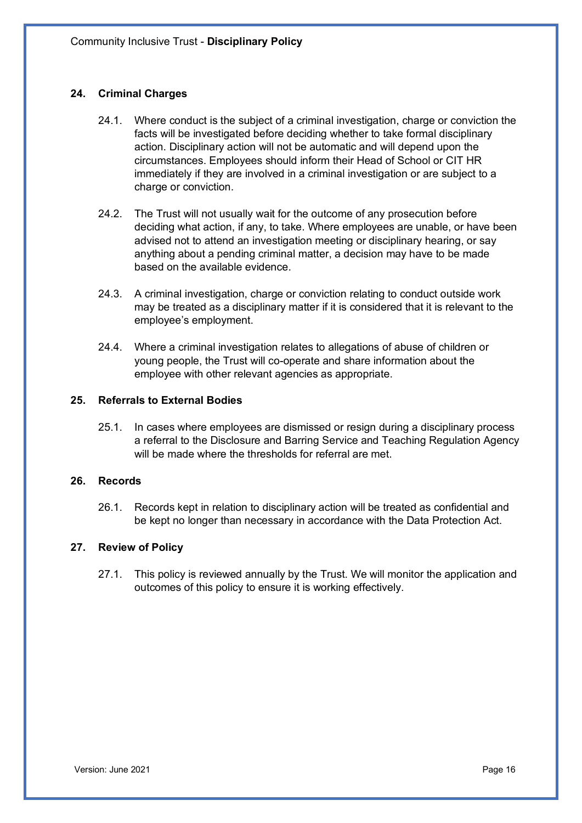# **24. Criminal Charges**

- 24.1. Where conduct is the subject of a criminal investigation, charge or conviction the facts will be investigated before deciding whether to take formal disciplinary action. Disciplinary action will not be automatic and will depend upon the circumstances. Employees should inform their Head of School or CIT HR immediately if they are involved in a criminal investigation or are subject to a charge or conviction.
- 24.2. The Trust will not usually wait for the outcome of any prosecution before deciding what action, if any, to take. Where employees are unable, or have been advised not to attend an investigation meeting or disciplinary hearing, or say anything about a pending criminal matter, a decision may have to be made based on the available evidence.
- 24.3. A criminal investigation, charge or conviction relating to conduct outside work may be treated as a disciplinary matter if it is considered that it is relevant to the employee's employment.
- 24.4. Where a criminal investigation relates to allegations of abuse of children or young people, the Trust will co-operate and share information about the employee with other relevant agencies as appropriate.

## **25. Referrals to External Bodies**

25.1. In cases where employees are dismissed or resign during a disciplinary process a referral to the Disclosure and Barring Service and Teaching Regulation Agency will be made where the thresholds for referral are met.

#### **26. Records**

26.1. Records kept in relation to disciplinary action will be treated as confidential and be kept no longer than necessary in accordance with the Data Protection Act.

#### **27. Review of Policy**

27.1. This policy is reviewed annually by the Trust. We will monitor the application and outcomes of this policy to ensure it is working effectively.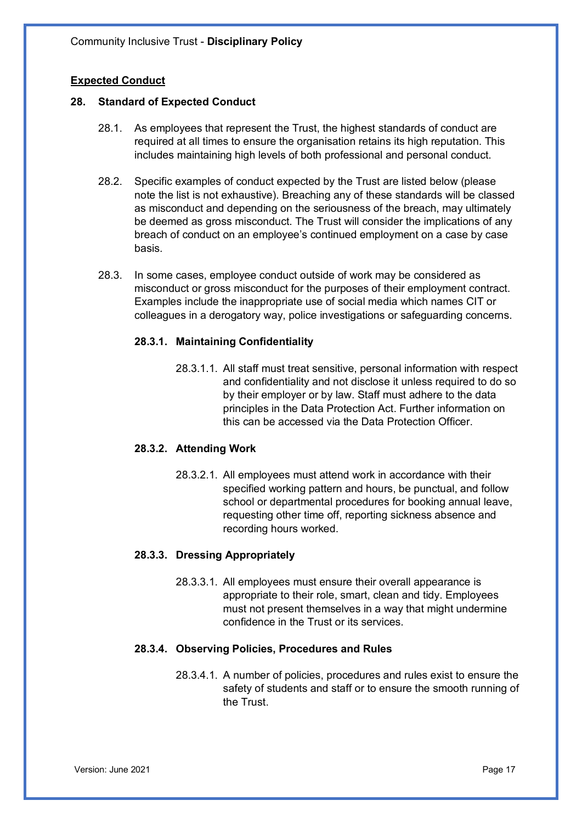# **Expected Conduct**

## **28. Standard of Expected Conduct**

- 28.1. As employees that represent the Trust, the highest standards of conduct are required at all times to ensure the organisation retains its high reputation. This includes maintaining high levels of both professional and personal conduct.
- 28.2. Specific examples of conduct expected by the Trust are listed below (please note the list is not exhaustive). Breaching any of these standards will be classed as misconduct and depending on the seriousness of the breach, may ultimately be deemed as gross misconduct. The Trust will consider the implications of any breach of conduct on an employee's continued employment on a case by case basis.
- 28.3. In some cases, employee conduct outside of work may be considered as misconduct or gross misconduct for the purposes of their employment contract. Examples include the inappropriate use of social media which names CIT or colleagues in a derogatory way, police investigations or safeguarding concerns.

## **28.3.1. Maintaining Confidentiality**

28.3.1.1. All staff must treat sensitive, personal information with respect and confidentiality and not disclose it unless required to do so by their employer or by law. Staff must adhere to the data principles in the Data Protection Act. Further information on this can be accessed via the Data Protection Officer.

#### **28.3.2. Attending Work**

28.3.2.1. All employees must attend work in accordance with their specified working pattern and hours, be punctual, and follow school or departmental procedures for booking annual leave, requesting other time off, reporting sickness absence and recording hours worked.

# **28.3.3. Dressing Appropriately**

28.3.3.1. All employees must ensure their overall appearance is appropriate to their role, smart, clean and tidy. Employees must not present themselves in a way that might undermine confidence in the Trust or its services.

# **28.3.4. Observing Policies, Procedures and Rules**

28.3.4.1. A number of policies, procedures and rules exist to ensure the safety of students and staff or to ensure the smooth running of the Trust.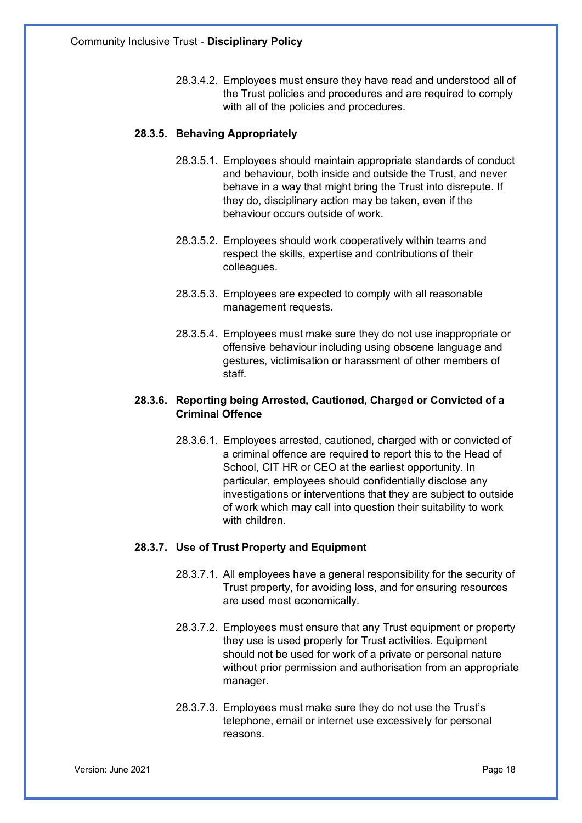28.3.4.2. Employees must ensure they have read and understood all of the Trust policies and procedures and are required to comply with all of the policies and procedures.

# **28.3.5. Behaving Appropriately**

- 28.3.5.1. Employees should maintain appropriate standards of conduct and behaviour, both inside and outside the Trust, and never behave in a way that might bring the Trust into disrepute. If they do, disciplinary action may be taken, even if the behaviour occurs outside of work.
- 28.3.5.2. Employees should work cooperatively within teams and respect the skills, expertise and contributions of their colleagues.
- 28.3.5.3. Employees are expected to comply with all reasonable management requests.
- 28.3.5.4. Employees must make sure they do not use inappropriate or offensive behaviour including using obscene language and gestures, victimisation or harassment of other members of staff.

# **28.3.6. Reporting being Arrested, Cautioned, Charged or Convicted of a Criminal Offence**

28.3.6.1. Employees arrested, cautioned, charged with or convicted of a criminal offence are required to report this to the Head of School, CIT HR or CEO at the earliest opportunity. In particular, employees should confidentially disclose any investigations or interventions that they are subject to outside of work which may call into question their suitability to work with children.

# **28.3.7. Use of Trust Property and Equipment**

- 28.3.7.1. All employees have a general responsibility for the security of Trust property, for avoiding loss, and for ensuring resources are used most economically.
- 28.3.7.2. Employees must ensure that any Trust equipment or property they use is used properly for Trust activities. Equipment should not be used for work of a private or personal nature without prior permission and authorisation from an appropriate manager.
- 28.3.7.3. Employees must make sure they do not use the Trust's telephone, email or internet use excessively for personal reasons.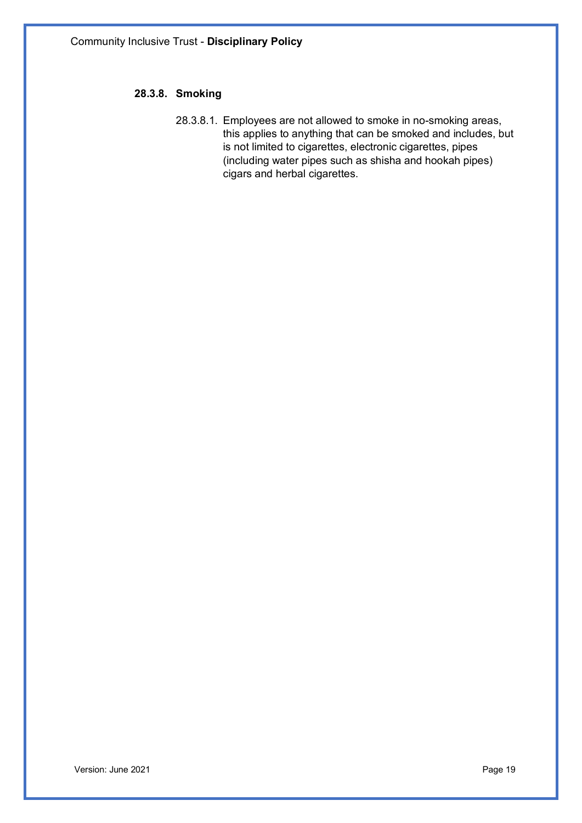# **28.3.8. Smoking**

28.3.8.1. Employees are not allowed to smoke in no-smoking areas, this applies to anything that can be smoked and includes, but is not limited to cigarettes, electronic cigarettes, pipes (including water pipes such as shisha and hookah pipes) cigars and herbal cigarettes.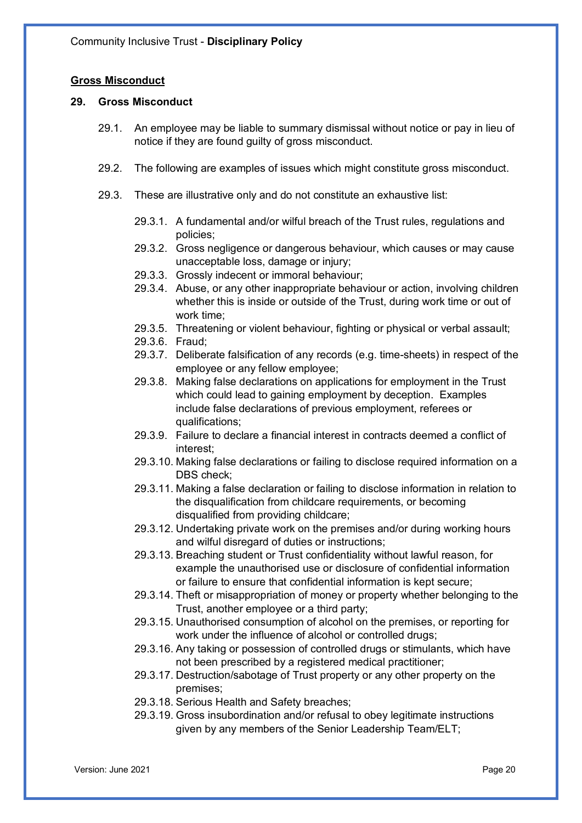## **Gross Misconduct**

#### **29. Gross Misconduct**

- 29.1. An employee may be liable to summary dismissal without notice or pay in lieu of notice if they are found guilty of gross misconduct.
- 29.2. The following are examples of issues which might constitute gross misconduct.
- 29.3. These are illustrative only and do not constitute an exhaustive list:
	- 29.3.1. A fundamental and/or wilful breach of the Trust rules, regulations and policies;
	- 29.3.2. Gross negligence or dangerous behaviour, which causes or may cause unacceptable loss, damage or injury;
	- 29.3.3. Grossly indecent or immoral behaviour;
	- 29.3.4. Abuse, or any other inappropriate behaviour or action, involving children whether this is inside or outside of the Trust, during work time or out of work time;
	- 29.3.5. Threatening or violent behaviour, fighting or physical or verbal assault;
	- 29.3.6. Fraud;
	- 29.3.7. Deliberate falsification of any records (e.g. time-sheets) in respect of the employee or any fellow employee;
	- 29.3.8. Making false declarations on applications for employment in the Trust which could lead to gaining employment by deception. Examples include false declarations of previous employment, referees or qualifications;
	- 29.3.9. Failure to declare a financial interest in contracts deemed a conflict of interest;
	- 29.3.10. Making false declarations or failing to disclose required information on a DBS check;
	- 29.3.11. Making a false declaration or failing to disclose information in relation to the disqualification from childcare requirements, or becoming disqualified from providing childcare;
	- 29.3.12. Undertaking private work on the premises and/or during working hours and wilful disregard of duties or instructions;
	- 29.3.13. Breaching student or Trust confidentiality without lawful reason, for example the unauthorised use or disclosure of confidential information or failure to ensure that confidential information is kept secure;
	- 29.3.14. Theft or misappropriation of money or property whether belonging to the Trust, another employee or a third party;
	- 29.3.15. Unauthorised consumption of alcohol on the premises, or reporting for work under the influence of alcohol or controlled drugs;
	- 29.3.16. Any taking or possession of controlled drugs or stimulants, which have not been prescribed by a registered medical practitioner;
	- 29.3.17. Destruction/sabotage of Trust property or any other property on the premises;
	- 29.3.18. Serious Health and Safety breaches;
	- 29.3.19. Gross insubordination and/or refusal to obey legitimate instructions given by any members of the Senior Leadership Team/ELT;